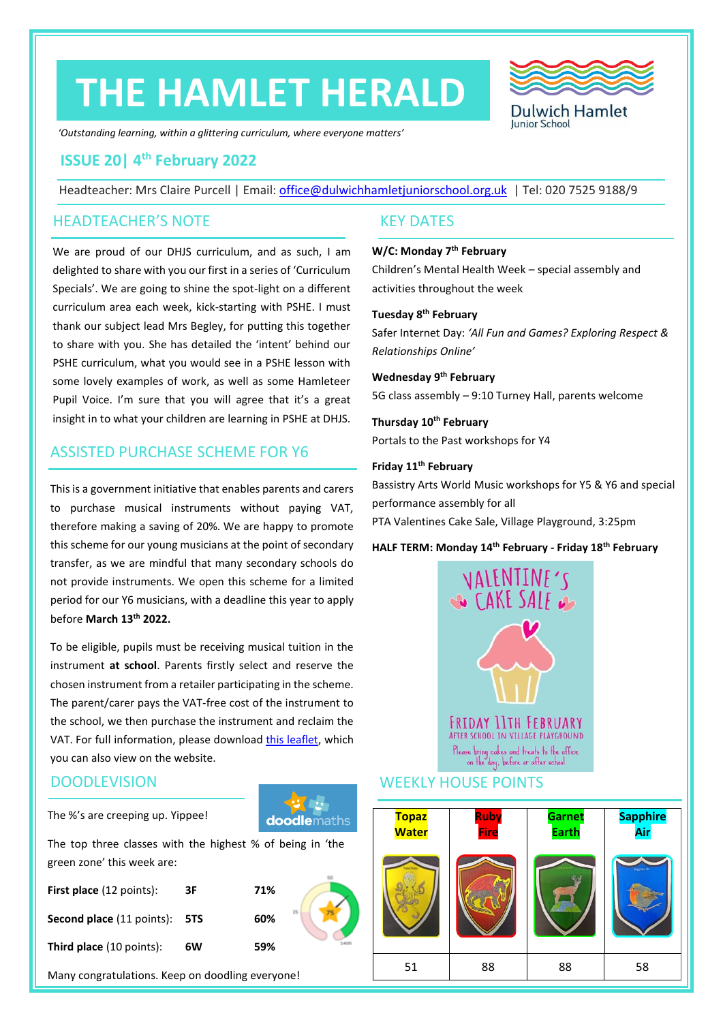# **THE HAMLET HERALD**



*'Outstanding learning, within a glittering curriculum, where everyone matters'*

# **ISSUE 20| 4 th February 2022**

Headteacher: Mrs Claire Purcell | Email: [office@dulwichhamletjuniorschool.org.uk](mailto:office@dulwichhamletjuniorschool.org.uk) | Tel: 020 7525 9188/9

# HEADTEACHER'S NOTE KEY DATES

We are proud of our DHJS curriculum, and as such, I am delighted to share with you our first in a series of 'Curriculum Specials'. We are going to shine the spot-light on a different curriculum area each week, kick-starting with PSHE. I must thank our subject lead Mrs Begley, for putting this together to share with you. She has detailed the 'intent' behind our PSHE curriculum, what you would see in a PSHE lesson with some lovely examples of work, as well as some Hamleteer Pupil Voice. I'm sure that you will agree that it's a great insight in to what your children are learning in PSHE at DHJS.

# ASSISTED PURCHASE SCHEME FOR Y6

This is a government initiative that enables parents and carers to purchase musical instruments without paying VAT, therefore making a saving of 20%. We are happy to promote this scheme for our young musicians at the point of secondary transfer, as we are mindful that many secondary schools do not provide instruments. We open this scheme for a limited period for our Y6 musicians, with a deadline this year to apply before **March 13th 2022.**

To be eligible, pupils must be receiving musical tuition in the instrument **at school**. Parents firstly select and reserve the chosen instrument from a retailer participating in the scheme. The parent/carer pays the VAT-free cost of the instrument to the school, we then purchase the instrument and reclaim the VAT. For full information, please download [this leaflet,](http://www.dulwichhamletjuniorschool.org.uk/uploads/6/2/8/6/62866179/assisted_leaflet_2021.pdf) which you can also view on the website.

# **DOODLEVISION**

The %'s are creeping up. Yippee!

The top three classes with the highest % of being in 'the green zone' this week are:

**doodlemaths** 

| <b>First place</b> (12 points):  | 3F  | 71%       |
|----------------------------------|-----|-----------|
| <b>Second place</b> (11 points): | 5TS | 25<br>60% |
| <b>Third place</b> (10 points):  | 6W  | 59%       |

Many congratulations. Keep on doodling everyone!

#### **W/C: Monday 7th February**

Children's Mental Health Week – special assembly and activities throughout the week

#### **Tuesday 8th February**

Safer Internet Day: *'All Fun and Games? Exploring Respect & Relationships Online'*

## **Wednesday 9 th February** 5G class assembly – 9:10 Turney Hall, parents welcome

**Thursday 10th February** Portals to the Past workshops for Y4

#### **Friday 11th February**

Bassistry Arts World Music workshops for Y5 & Y6 and special performance assembly for all PTA Valentines Cake Sale, Village Playground, 3:25pm

#### **HALF TERM: Monday 14th February - Friday 18th February**



### WEEKLY HOUSE POINTS

| <b>Topaz</b><br><b>Water</b> | <b>Ruby</b><br><b>Fire</b> | <b>Garnet</b><br><b>Earth</b> | <b>Sapphire</b><br>Air |
|------------------------------|----------------------------|-------------------------------|------------------------|
|                              |                            |                               | Sapphire Air           |
| 51                           | 88                         | 88                            | 58                     |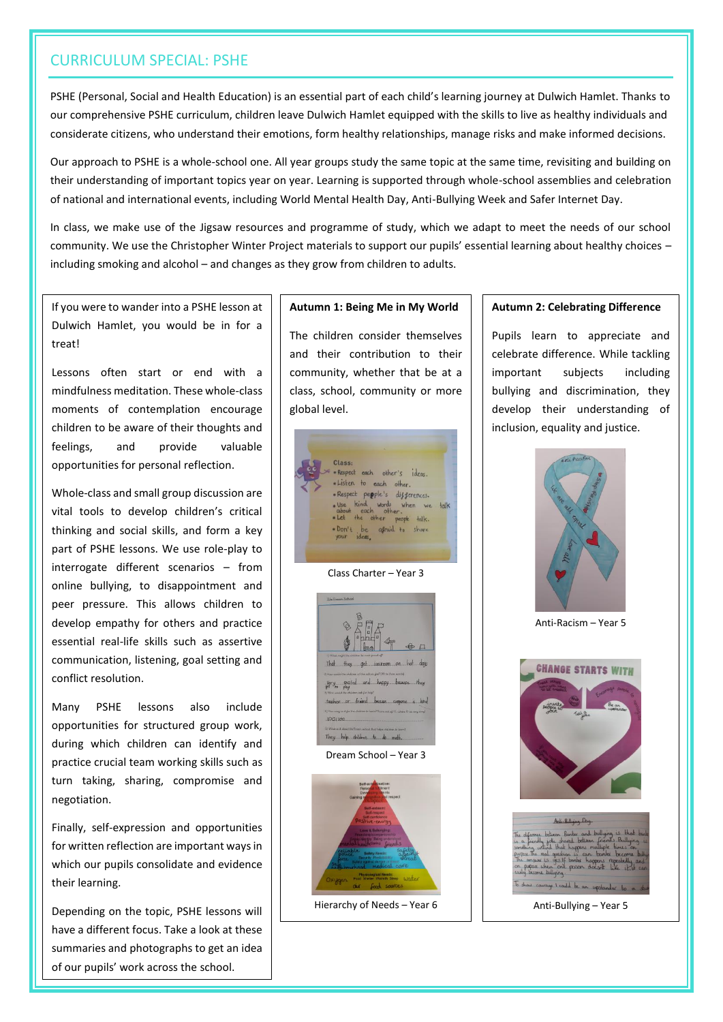# CURRICULUM SPECIAL: PSHE

PSHE (Personal, Social and Health Education) is an essential part of each child's learning journey at Dulwich Hamlet. Thanks to our comprehensive PSHE curriculum, children leave Dulwich Hamlet equipped with the skills to live as healthy individuals and considerate citizens, who understand their emotions, form healthy relationships, manage risks and make informed decisions.

Our approach to PSHE is a whole-school one. All year groups study the same topic at the same time, revisiting and building on their understanding of important topics year on year. Learning is supported through whole-school assemblies and celebration of national and international events, including World Mental Health Day, Anti-Bullying Week and Safer Internet Day.

In class, we make use of the Jigsaw resources and programme of study, which we adapt to meet the needs of our school community. We use the Christopher Winter Project materials to support our pupils' essential learning about healthy choices – including smoking and alcohol – and changes as they grow from children to adults.

If you were to wander into a PSHE lesson at Dulwich Hamlet, you would be in for a treat!

Lessons often start or end with a mindfulness meditation. These whole-class moments of contemplation encourage children to be aware of their thoughts and feelings, and provide valuable opportunities for personal reflection.

Whole-class and small group discussion are vital tools to develop children's critical thinking and social skills, and form a key part of PSHE lessons. We use role-play to interrogate different scenarios – from online bullying, to disappointment and peer pressure. This allows children to develop empathy for others and practice essential real-life skills such as assertive communication, listening, goal setting and conflict resolution.

Many PSHE lessons also include opportunities for structured group work, during which children can identify and practice crucial team working skills such as turn taking, sharing, compromise and negotiation.

Finally, self-expression and opportunities for written reflection are important ways in which our pupils consolidate and evidence their learning.

Depending on the topic, PSHE lessons will have a different focus. Take a look at these summaries and photographs to get an idea of our pupils' work across the school.

#### **Autumn 1: Being Me in My World**

The children consider themselves and their contribution to their community, whether that be at a class, school, community or more global level.



Hierarchy of Needs – Year 6

#### **Autumn 2: Celebrating Difference**

Pupils learn to appreciate and celebrate difference. While tackling important subjects including bullying and discrimination, they develop their understanding of inclusion, equality and justice.



Anti-Racism – Year 5



Anti-Bullying – Year 5